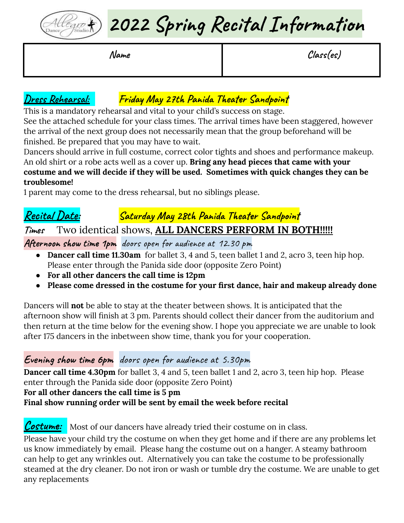

**2022 Spring Recital Information**

**Name Class(es)**

## **Dress Rehearsal: Friday May 27th Panida Theater Sandpoint**

This is a mandatory rehearsal and vital to your child's success on stage.

See the attached schedule for your class times. The arrival times have been staggered, however the arrival of the next group does not necessarily mean that the group beforehand will be finished. Be prepared that you may have to wait.

Dancers should arrive in full costume, correct color tights and shoes and performance makeup. An old shirt or a robe acts well as a cover up. **Bring any head pieces that came with your costume and we will decide if they will be used. Sometimes with quick changes they can be troublesome!**

1 parent may come to the dress rehearsal, but no siblings please.

### **Recital Date: Saturday May 28th Panida Theater Sandpoint**

### **Times** Two identical shows, **ALL DANCERS PERFORM IN BOTH!!!!!**

**Afternoon show time 1pm** doors open for audience at 12.30 pm

- **Dancer call time 11.30am** for ballet 3, 4 and 5, teen ballet 1 and 2, acro 3, teen hip hop. Please enter through the Panida side door (opposite Zero Point)
- **● For all other dancers the call time is 12pm**
- **● Please come dressed in the costume for your first dance, hair and makeup already done**

Dancers will **not** be able to stay at the theater between shows. It is anticipated that the afternoon show will finish at 3 pm. Parents should collect their dancer from the auditorium and then return at the time below for the evening show. I hope you appreciate we are unable to look after 175 dancers in the inbetween show time, thank you for your cooperation.

#### **Evening show time 6pm** doors open for audience at 5.30pm

**Dancer call time 4.30pm** for ballet 3, 4 and 5, teen ballet 1 and 2, acro 3, teen hip hop. Please enter through the Panida side door (opposite Zero Point) **For all other dancers the call time is 5 pm Final show running order will be sent by email the week before recital**

**Costume:** Most of our dancers have already tried their costume on in class. Please have your child try the costume on when they get home and if there are any problems let us know immediately by email. Please hang the costume out on a hanger. A steamy bathroom can help to get any wrinkles out. Alternatively you can take the costume to be professionally steamed at the dry cleaner. Do not iron or wash or tumble dry the costume. We are unable to get any replacements